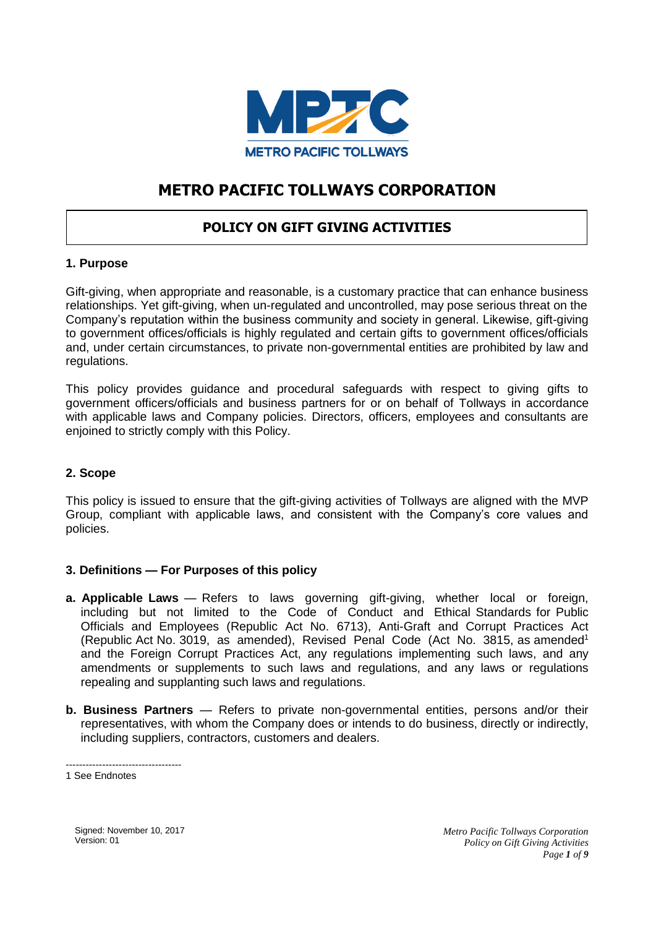

# **METRO PACIFIC TOLLWAYS CORPORATION**

## **POLICY ON GIFT GIVING ACTIVITIES**

## **1. Purpose**

Gift-giving, when appropriate and reasonable, is a customary practice that can enhance business relationships. Yet gift-giving, when un-regulated and uncontrolled, may pose serious threat on the Company's reputation within the business community and society in general. Likewise, gift-giving to government offices/officials is highly regulated and certain gifts to government offices/officials and, under certain circumstances, to private non-governmental entities are prohibited by law and regulations.

This policy provides guidance and procedural safeguards with respect to giving gifts to government officers/officials and business partners for or on behalf of Tollways in accordance with applicable laws and Company policies. Directors, officers, employees and consultants are enjoined to strictly comply with this Policy.

## **2. Scope**

This policy is issued to ensure that the gift-giving activities of Tollways are aligned with the MVP Group, compliant with applicable laws, and consistent with the Company's core values and policies.

## **3. Definitions — For Purposes of this policy**

- **a. Applicable Laws** Refers to laws governing gift-giving, whether local or foreign, including but not limited to the Code of Conduct and Ethical Standards for Public Officials and Employees (Republic Act No. 6713), Anti-Graft and Corrupt Practices Act (Republic Act No. 3019, as amended), Revised Penal Code (Act No. 3815, as amended<sup>1</sup> and the Foreign Corrupt Practices Act, any regulations implementing such laws, and any amendments or supplements to such laws and regulations, and any laws or regulations repealing and supplanting such laws and regulations.
- **b. Business Partners** Refers to private non-governmental entities, persons and/or their representatives, with whom the Company does or intends to do business, directly or indirectly, including suppliers, contractors, customers and dealers.

-----------------------------------

1 See Endnotes

Signed: November 10, 2017 Version: 01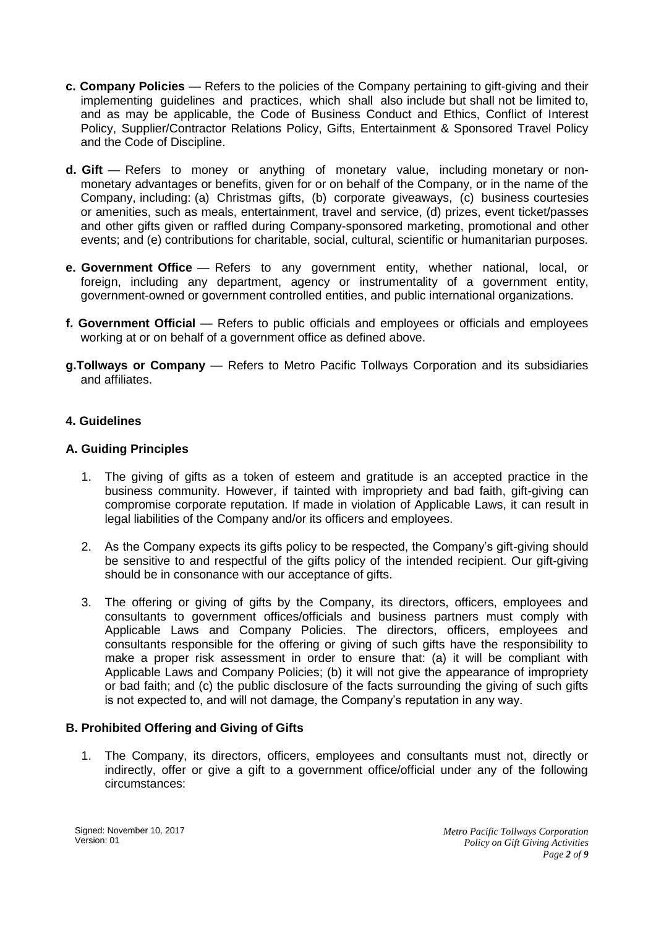- **c. Company Policies** Refers to the policies of the Company pertaining to gift-giving and their implementing guidelines and practices, which shall also include but shall not be limited to, and as may be applicable, the Code of Business Conduct and Ethics, Conflict of Interest Policy, Supplier/Contractor Relations Policy, Gifts, Entertainment & Sponsored Travel Policy and the Code of Discipline.
- **d. Gift** Refers to money or anything of monetary value, including monetary or nonmonetary advantages or benefits, given for or on behalf of the Company, or in the name of the Company, including: (a) Christmas gifts, (b) corporate giveaways, (c) business courtesies or amenities, such as meals, entertainment, travel and service, (d) prizes, event ticket/passes and other gifts given or raffled during Company-sponsored marketing, promotional and other events; and (e) contributions for charitable, social, cultural, scientific or humanitarian purposes.
- **e. Government Office** Refers to any government entity, whether national, local, or foreign, including any department, agency or instrumentality of a government entity, government-owned or government controlled entities, and public international organizations.
- **f. Government Official** Refers to public officials and employees or officials and employees working at or on behalf of a government office as defined above.
- **g.Tollways or Company** Refers to Metro Pacific Tollways Corporation and its subsidiaries and affiliates.

## **4. Guidelines**

## **A. Guiding Principles**

- 1. The giving of gifts as a token of esteem and gratitude is an accepted practice in the business community. However, if tainted with impropriety and bad faith, gift-giving can compromise corporate reputation. If made in violation of Applicable Laws, it can result in legal liabilities of the Company and/or its officers and employees.
- 2. As the Company expects its gifts policy to be respected, the Company's gift-giving should be sensitive to and respectful of the gifts policy of the intended recipient. Our gift-giving should be in consonance with our acceptance of gifts.
- 3. The offering or giving of gifts by the Company, its directors, officers, employees and consultants to government offices/officials and business partners must comply with Applicable Laws and Company Policies. The directors, officers, employees and consultants responsible for the offering or giving of such gifts have the responsibility to make a proper risk assessment in order to ensure that: (a) it will be compliant with Applicable Laws and Company Policies; (b) it will not give the appearance of impropriety or bad faith; and (c) the public disclosure of the facts surrounding the giving of such gifts is not expected to, and will not damage, the Company's reputation in any way.

## **B. Prohibited Offering and Giving of Gifts**

1. The Company, its directors, officers, employees and consultants must not, directly or indirectly, offer or give a gift to a government office/official under any of the following circumstances:

Signed: November 10, 2017 Version: 01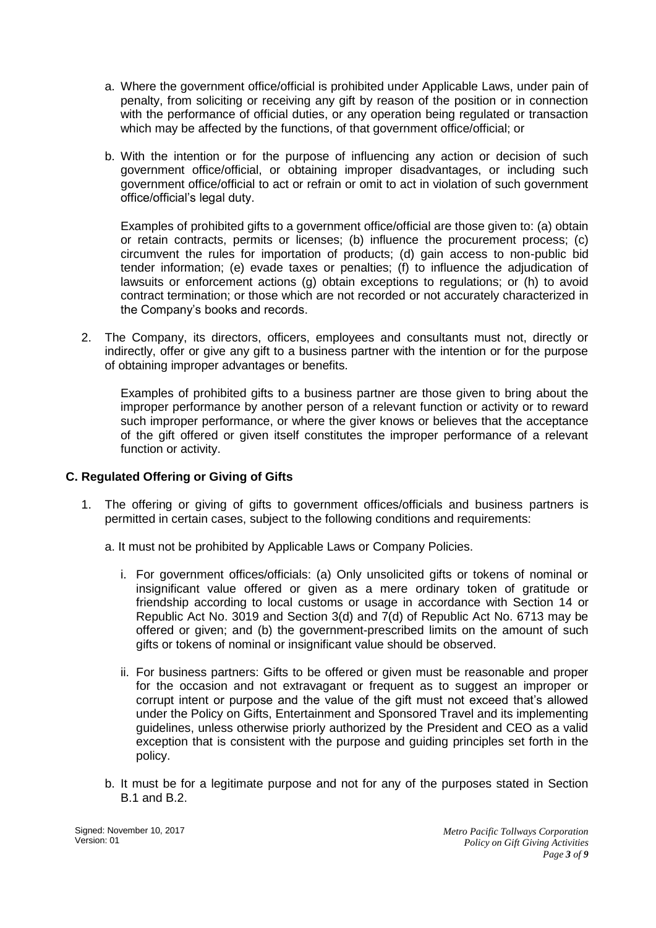- a. Where the government office/official is prohibited under Applicable Laws, under pain of penalty, from soliciting or receiving any gift by reason of the position or in connection with the performance of official duties, or any operation being regulated or transaction which may be affected by the functions, of that government office/official; or
- b. With the intention or for the purpose of influencing any action or decision of such government office/official, or obtaining improper disadvantages, or including such government office/official to act or refrain or omit to act in violation of such government office/official's legal duty.

Examples of prohibited gifts to a government office/official are those given to: (a) obtain or retain contracts, permits or licenses; (b) influence the procurement process; (c) circumvent the rules for importation of products; (d) gain access to non-public bid tender information; (e) evade taxes or penalties; (f) to influence the adjudication of lawsuits or enforcement actions (g) obtain exceptions to regulations; or (h) to avoid contract termination; or those which are not recorded or not accurately characterized in the Company's books and records.

2. The Company, its directors, officers, employees and consultants must not, directly or indirectly, offer or give any gift to a business partner with the intention or for the purpose of obtaining improper advantages or benefits.

Examples of prohibited gifts to a business partner are those given to bring about the improper performance by another person of a relevant function or activity or to reward such improper performance, or where the giver knows or believes that the acceptance of the gift offered or given itself constitutes the improper performance of a relevant function or activity.

## **C. Regulated Offering or Giving of Gifts**

1. The offering or giving of gifts to government offices/officials and business partners is permitted in certain cases, subject to the following conditions and requirements:

a. It must not be prohibited by Applicable Laws or Company Policies.

- i. For government offices/officials: (a) Only unsolicited gifts or tokens of nominal or insignificant value offered or given as a mere ordinary token of gratitude or friendship according to local customs or usage in accordance with Section 14 or Republic Act No. 3019 and Section 3(d) and 7(d) of Republic Act No. 6713 may be offered or given; and (b) the government-prescribed limits on the amount of such gifts or tokens of nominal or insignificant value should be observed.
- ii. For business partners: Gifts to be offered or given must be reasonable and proper for the occasion and not extravagant or frequent as to suggest an improper or corrupt intent or purpose and the value of the gift must not exceed that's allowed under the Policy on Gifts, Entertainment and Sponsored Travel and its implementing guidelines, unless otherwise priorly authorized by the President and CEO as a valid exception that is consistent with the purpose and guiding principles set forth in the policy.
- b. It must be for a legitimate purpose and not for any of the purposes stated in Section B.1 and B.2.

Signed: November 10, 2017 Version: 01

*Metro Pacific Tollways Corporation Policy on Gift Giving Activities Page 3 of 9*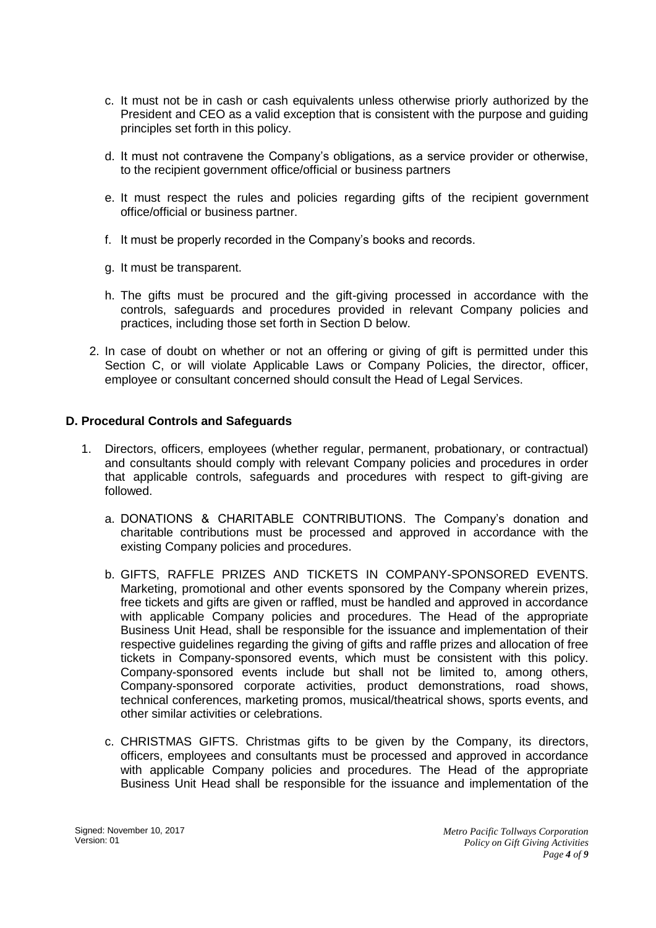- c. It must not be in cash or cash equivalents unless otherwise priorly authorized by the President and CEO as a valid exception that is consistent with the purpose and guiding principles set forth in this policy.
- d. It must not contravene the Company's obligations, as a service provider or otherwise, to the recipient government office/official or business partners
- e. It must respect the rules and policies regarding gifts of the recipient government office/official or business partner.
- f. It must be properly recorded in the Company's books and records.
- g. It must be transparent.
- h. The gifts must be procured and the gift-giving processed in accordance with the controls, safeguards and procedures provided in relevant Company policies and practices, including those set forth in Section D below.
- 2. In case of doubt on whether or not an offering or giving of gift is permitted under this Section C, or will violate Applicable Laws or Company Policies, the director, officer, employee or consultant concerned should consult the Head of Legal Services.

## **D. Procedural Controls and Safeguards**

- 1. Directors, officers, employees (whether regular, permanent, probationary, or contractual) and consultants should comply with relevant Company policies and procedures in order that applicable controls, safeguards and procedures with respect to gift-giving are followed.
	- a. DONATIONS & CHARITABLE CONTRIBUTIONS. The Company's donation and charitable contributions must be processed and approved in accordance with the existing Company policies and procedures.
	- b. GIFTS, RAFFLE PRIZES AND TICKETS IN COMPANY-SPONSORED EVENTS. Marketing, promotional and other events sponsored by the Company wherein prizes, free tickets and gifts are given or raffled, must be handled and approved in accordance with applicable Company policies and procedures. The Head of the appropriate Business Unit Head, shall be responsible for the issuance and implementation of their respective guidelines regarding the giving of gifts and raffle prizes and allocation of free tickets in Company-sponsored events, which must be consistent with this policy. Company-sponsored events include but shall not be limited to, among others, Company-sponsored corporate activities, product demonstrations, road shows, technical conferences, marketing promos, musical/theatrical shows, sports events, and other similar activities or celebrations.
	- c. CHRISTMAS GIFTS. Christmas gifts to be given by the Company, its directors, officers, employees and consultants must be processed and approved in accordance with applicable Company policies and procedures. The Head of the appropriate Business Unit Head shall be responsible for the issuance and implementation of the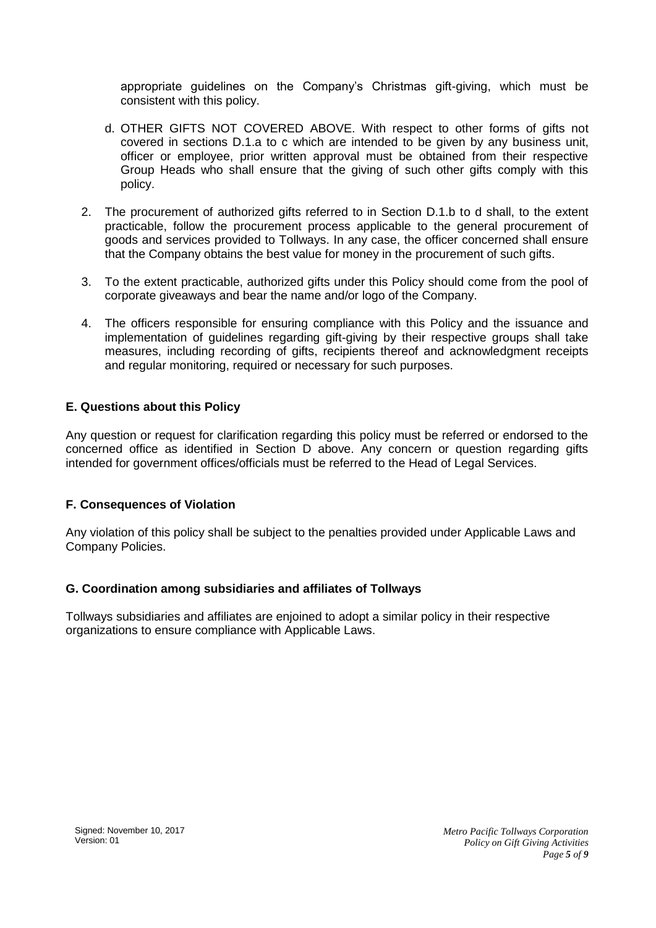appropriate guidelines on the Company's Christmas gift-giving, which must be consistent with this policy.

- d. OTHER GIFTS NOT COVERED ABOVE. With respect to other forms of gifts not covered in sections D.1.a to c which are intended to be given by any business unit, officer or employee, prior written approval must be obtained from their respective Group Heads who shall ensure that the giving of such other gifts comply with this policy.
- 2. The procurement of authorized gifts referred to in Section D.1.b to d shall, to the extent practicable, follow the procurement process applicable to the general procurement of goods and services provided to Tollways. In any case, the officer concerned shall ensure that the Company obtains the best value for money in the procurement of such gifts.
- 3. To the extent practicable, authorized gifts under this Policy should come from the pool of corporate giveaways and bear the name and/or logo of the Company.
- 4. The officers responsible for ensuring compliance with this Policy and the issuance and implementation of guidelines regarding gift-giving by their respective groups shall take measures, including recording of gifts, recipients thereof and acknowledgment receipts and regular monitoring, required or necessary for such purposes.

## **E. Questions about this Policy**

Any question or request for clarification regarding this policy must be referred or endorsed to the concerned office as identified in Section D above. Any concern or question regarding gifts intended for government offices/officials must be referred to the Head of Legal Services.

## **F. Consequences of Violation**

Any violation of this policy shall be subject to the penalties provided under Applicable Laws and Company Policies.

## **G. Coordination among subsidiaries and affiliates of Tollways**

Tollways subsidiaries and affiliates are enjoined to adopt a similar policy in their respective organizations to ensure compliance with Applicable Laws.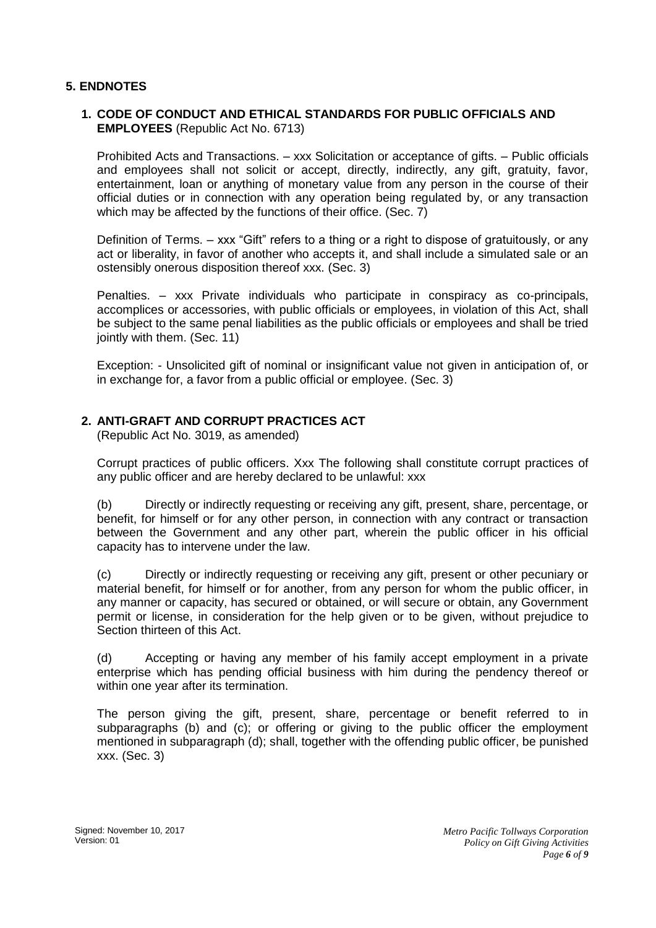## **5. ENDNOTES**

## **1. CODE OF CONDUCT AND ETHICAL STANDARDS FOR PUBLIC OFFICIALS AND EMPLOYEES** (Republic Act No. 6713)

Prohibited Acts and Transactions. – xxx Solicitation or acceptance of gifts. – Public officials and employees shall not solicit or accept, directly, indirectly, any gift, gratuity, favor, entertainment, loan or anything of monetary value from any person in the course of their official duties or in connection with any operation being regulated by, or any transaction which may be affected by the functions of their office. (Sec. 7)

Definition of Terms.  $-$  xxx "Gift" refers to a thing or a right to dispose of gratuitously, or any act or liberality, in favor of another who accepts it, and shall include a simulated sale or an ostensibly onerous disposition thereof xxx. (Sec. 3)

Penalties. – xxx Private individuals who participate in conspiracy as co-principals, accomplices or accessories, with public officials or employees, in violation of this Act, shall be subject to the same penal liabilities as the public officials or employees and shall be tried jointly with them. (Sec. 11)

Exception: - Unsolicited gift of nominal or insignificant value not given in anticipation of, or in exchange for, a favor from a public official or employee. (Sec. 3)

## **2. ANTI-GRAFT AND CORRUPT PRACTICES ACT**

(Republic Act No. 3019, as amended)

Corrupt practices of public officers. Xxx The following shall constitute corrupt practices of any public officer and are hereby declared to be unlawful: xxx

(b) Directly or indirectly requesting or receiving any gift, present, share, percentage, or benefit, for himself or for any other person, in connection with any contract or transaction between the Government and any other part, wherein the public officer in his official capacity has to intervene under the law.

(c) Directly or indirectly requesting or receiving any gift, present or other pecuniary or material benefit, for himself or for another, from any person for whom the public officer, in any manner or capacity, has secured or obtained, or will secure or obtain, any Government permit or license, in consideration for the help given or to be given, without prejudice to Section thirteen of this Act.

(d) Accepting or having any member of his family accept employment in a private enterprise which has pending official business with him during the pendency thereof or within one year after its termination.

The person giving the gift, present, share, percentage or benefit referred to in subparagraphs (b) and (c); or offering or giving to the public officer the employment mentioned in subparagraph (d); shall, together with the offending public officer, be punished xxx. (Sec. 3)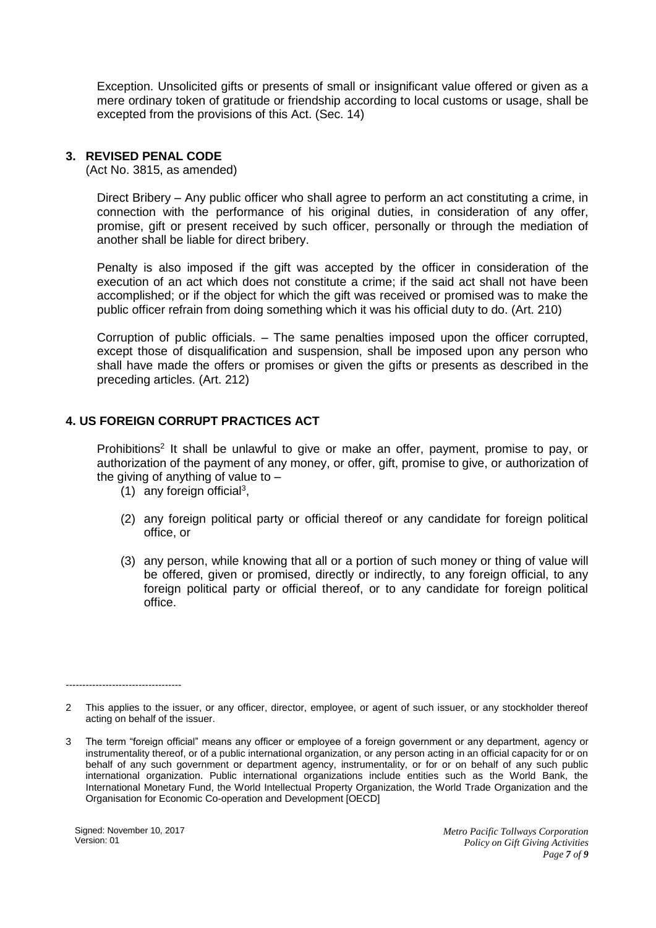Exception. Unsolicited gifts or presents of small or insignificant value offered or given as a mere ordinary token of gratitude or friendship according to local customs or usage, shall be excepted from the provisions of this Act. (Sec. 14)

## **3. REVISED PENAL CODE**

(Act No. 3815, as amended)

Direct Bribery – Any public officer who shall agree to perform an act constituting a crime, in connection with the performance of his original duties, in consideration of any offer, promise, gift or present received by such officer, personally or through the mediation of another shall be liable for direct bribery.

Penalty is also imposed if the gift was accepted by the officer in consideration of the execution of an act which does not constitute a crime; if the said act shall not have been accomplished; or if the object for which the gift was received or promised was to make the public officer refrain from doing something which it was his official duty to do. (Art. 210)

Corruption of public officials. – The same penalties imposed upon the officer corrupted, except those of disqualification and suspension, shall be imposed upon any person who shall have made the offers or promises or given the gifts or presents as described in the preceding articles. (Art. 212)

## **4. US FOREIGN CORRUPT PRACTICES ACT**

Prohibitions<sup>2</sup> It shall be unlawful to give or make an offer, payment, promise to pay, or authorization of the payment of any money, or offer, gift, promise to give, or authorization of the giving of anything of value to –

- $(1)$  any foreign official<sup>3</sup>,
- (2) any foreign political party or official thereof or any candidate for foreign political office, or
- (3) any person, while knowing that all or a portion of such money or thing of value will be offered, given or promised, directly or indirectly, to any foreign official, to any foreign political party or official thereof, or to any candidate for foreign political office.

-----------------------------------

<sup>2</sup> This applies to the issuer, or any officer, director, employee, or agent of such issuer, or any stockholder thereof acting on behalf of the issuer.

<sup>3</sup> The term "foreign official" means any officer or employee of a foreign government or any department, agency or instrumentality thereof, or of a public international organization, or any person acting in an official capacity for or on behalf of any such government or department agency, instrumentality, or for or on behalf of any such public international organization. Public international organizations include entities such as the World Bank, the International Monetary Fund, the World Intellectual Property Organization, the World Trade Organization and the Organisation for Economic Co-operation and Development [OECD]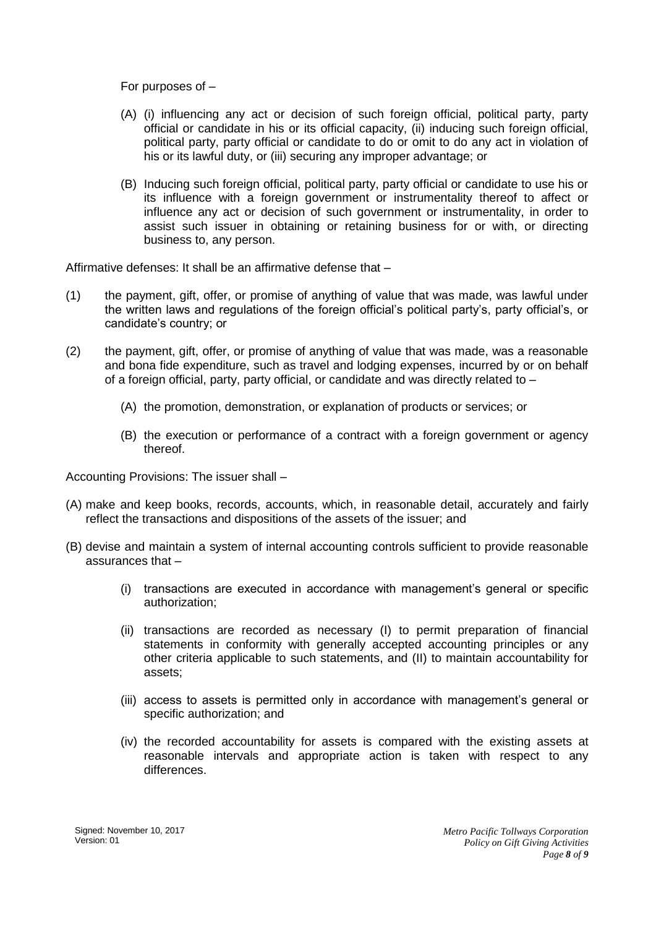For purposes of –

- (A) (i) influencing any act or decision of such foreign official, political party, party official or candidate in his or its official capacity, (ii) inducing such foreign official, political party, party official or candidate to do or omit to do any act in violation of his or its lawful duty, or (iii) securing any improper advantage; or
- (B) Inducing such foreign official, political party, party official or candidate to use his or its influence with a foreign government or instrumentality thereof to affect or influence any act or decision of such government or instrumentality, in order to assist such issuer in obtaining or retaining business for or with, or directing business to, any person.

Affirmative defenses: It shall be an affirmative defense that –

- (1) the payment, gift, offer, or promise of anything of value that was made, was lawful under the written laws and regulations of the foreign official's political party's, party official's, or candidate's country; or
- (2) the payment, gift, offer, or promise of anything of value that was made, was a reasonable and bona fide expenditure, such as travel and lodging expenses, incurred by or on behalf of a foreign official, party, party official, or candidate and was directly related to –
	- (A) the promotion, demonstration, or explanation of products or services; or
	- (B) the execution or performance of a contract with a foreign government or agency thereof.

Accounting Provisions: The issuer shall –

- (A) make and keep books, records, accounts, which, in reasonable detail, accurately and fairly reflect the transactions and dispositions of the assets of the issuer; and
- (B) devise and maintain a system of internal accounting controls sufficient to provide reasonable assurances that –
	- (i) transactions are executed in accordance with management's general or specific authorization;
	- (ii) transactions are recorded as necessary (I) to permit preparation of financial statements in conformity with generally accepted accounting principles or any other criteria applicable to such statements, and (II) to maintain accountability for assets;
	- (iii) access to assets is permitted only in accordance with management's general or specific authorization; and
	- (iv) the recorded accountability for assets is compared with the existing assets at reasonable intervals and appropriate action is taken with respect to any differences.